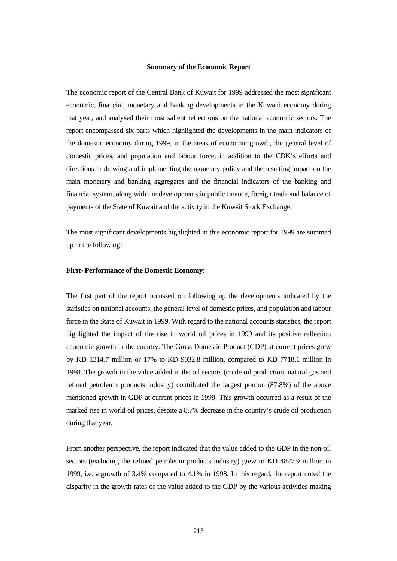#### **Summary of the Economic Report**

The economic report of the Central Bank of Kuwait for 1999 addressed the most significant economic, financial, monetary and banking developments in the Kuwaiti economy during that year, and analysed their most salient reflections on the national economic sectors. The report encompassed six parts which highlighted the developments in the main indicators of the domestic economy during 1999, in the areas of economic growth, the general level of domestic prices, and population and labour force, in addition to the CBK's efforts and directions in drawing and implementing the monetary policy and the resulting impact on the main monetary and banking aggregates and the financial indicators of the banking and financial system, along with the developments in public finance, foreign trade and balance of payments of the State of Kuwait and the activity in the Kuwait Stock Exchange.

The most significant developments highlighted in this economic report for 1999 are summed up in the following:

### **First- Performance of the Domestic Economy:**

The first part of the report focussed on following up the developments indicated by the statistics on national accounts, the general level of domestic prices, and population and labour force in the State of Kuwait in 1999. With regard to the national accounts statistics, the report highlighted the impact of the rise in world oil prices in 1999 and its positive reflection economic growth in the country. The Gross Domestic Product (GDP) at current prices grew by KD 1314.7 million or 17% to KD 9032.8 million, compared to KD 7718.1 million in 1998. The growth in the value added in the oil sectors (crude oil production, natural gas and refined petroleum products industry) contributed the largest portion (87.8%) of the above mentioned growth in GDP at current prices in 1999. This growth occurred as a result of the marked rise in world oil prices, despite a 8.7% decrease in the country's crude oil production during that year.

From another perspective, the report indicated that the value added to the GDP in the non-oil sectors (excluding the refined petroleum products industry) grew to KD 4827.9 million in 1999, i.e. a growth of 3.4% compared to 4.1% in 1998. In this regard, the report noted the disparity in the growth rates of the value added to the GDP by the various activities making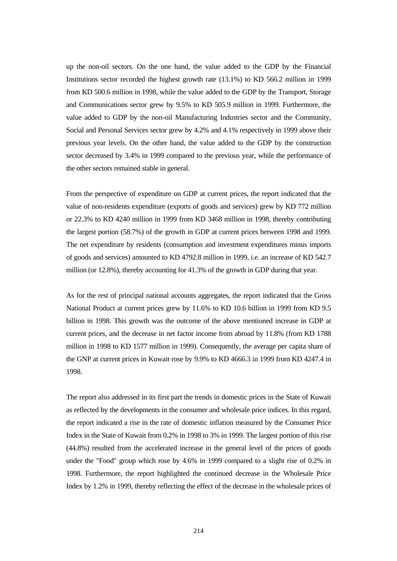up the non-oil sectors. On the one hand, the value added to the GDP by the Financial Institutions sector recorded the highest growth rate (13.1%) to KD 566.2 million in 1999 from KD 500.6 million in 1998, while the value added to the GDP by the Transport, Storage and Communications sector grew by 9.5% to KD 505.9 million in 1999. Furthermore, the value added to GDP by the non-oil Manufacturing Industries sector and the Community, Social and Personal Services sector grew by 4.2% and 4.1% respectively in 1999 above their previous year levels. On the other hand, the value added to the GDP by the construction sector decreased by 3.4% in 1999 compared to the previous year, while the performance of the other sectors remained stable in general.

From the perspective of expenditure on GDP at current prices, the report indicated that the value of non-residents expenditure (exports of goods and services) grew by KD 772 million or 22.3% to KD 4240 million in 1999 from KD 3468 million in 1998, thereby contributing the largest portion (58.7%) of the growth in GDP at current prices between 1998 and 1999. The net expenditure by residents (consumption and investment expenditures minus imports of goods and services) amounted to KD 4792.8 million in 1999, i.e. an increase of KD 542.7 million (or 12.8%), thereby accounting for 41.3% of the growth in GDP during that year.

As for the rest of principal national accounts aggregates, the report indicated that the Gross National Product at current prices grew by 11.6% to KD 10.6 billion in 1999 from KD 9.5 billion in 1998. This growth was the outcome of the above mentioned increase in GDP at current prices, and the decrease in net factor income from abroad by 11.8% (from KD 1788 million in 1998 to KD 1577 million in 1999). Consequently, the average per capita share of the GNP at current prices in Kuwait rose by 9.9% to KD 4666.3 in 1999 from KD 4247.4 in 1998.

The report also addressed in its first part the trends in domestic prices in the State of Kuwait as reflected by the developments in the consumer and wholesale price indices. In this regard, the report indicated a rise in the rate of domestic inflation measured by the Consumer Price Index in the State of Kuwait from 0.2% in 1998 to 3% in 1999. The largest portion of this rise (44.8%) resulted from the accelerated increase in the general level of the prices of goods under the "Food" group which rose by 4.6% in 1999 compared to a slight rise of 0.2% in 1998. Furthermore, the report highlighted the continued decrease in the Wholesale Price Index by 1.2% in 1999, thereby reflecting the effect of the decrease in the wholesale prices of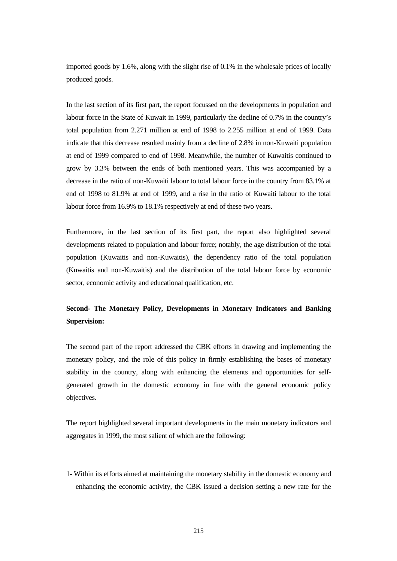imported goods by 1.6%, along with the slight rise of 0.1% in the wholesale prices of locally produced goods.

In the last section of its first part, the report focussed on the developments in population and labour force in the State of Kuwait in 1999, particularly the decline of 0.7% in the country's total population from 2.271 million at end of 1998 to 2.255 million at end of 1999. Data indicate that this decrease resulted mainly from a decline of 2.8% in non-Kuwaiti population at end of 1999 compared to end of 1998. Meanwhile, the number of Kuwaitis continued to grow by 3.3% between the ends of both mentioned years. This was accompanied by a decrease in the ratio of non-Kuwaiti labour to total labour force in the country from 83.1% at end of 1998 to 81.9% at end of 1999, and a rise in the ratio of Kuwaiti labour to the total labour force from 16.9% to 18.1% respectively at end of these two years.

Furthermore, in the last section of its first part, the report also highlighted several developments related to population and labour force; notably, the age distribution of the total population (Kuwaitis and non-Kuwaitis), the dependency ratio of the total population (Kuwaitis and non-Kuwaitis) and the distribution of the total labour force by economic sector, economic activity and educational qualification, etc.

# **Second- The Monetary Policy, Developments in Monetary Indicators and Banking Supervision:**

The second part of the report addressed the CBK efforts in drawing and implementing the monetary policy, and the role of this policy in firmly establishing the bases of monetary stability in the country, along with enhancing the elements and opportunities for selfgenerated growth in the domestic economy in line with the general economic policy objectives.

The report highlighted several important developments in the main monetary indicators and aggregates in 1999, the most salient of which are the following:

1- Within its efforts aimed at maintaining the monetary stability in the domestic economy and enhancing the economic activity, the CBK issued a decision setting a new rate for the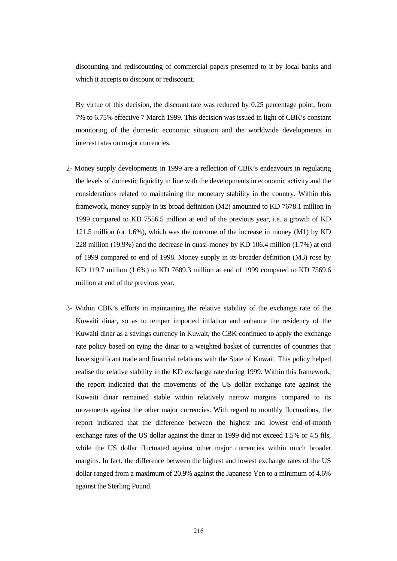discounting and rediscounting of commercial papers presented to it by local banks and which it accepts to discount or rediscount.

By virtue of this decision, the discount rate was reduced by 0.25 percentage point, from 7% to 6.75% effective 7 March 1999. This decision was issued in light of CBK's constant monitoring of the domestic economic situation and the worldwide developments in interest rates on major currencies.

- 2- Money supply developments in 1999 are a reflection of CBK's endeavours in regulating the levels of domestic liquidity in line with the developments in economic activity and the considerations related to maintaining the monetary stability in the country. Within this framework, money supply in its broad definition (M2) amounted to KD 7678.1 million in 1999 compared to KD 7556.5 million at end of the previous year, i.e. a growth of KD 121.5 million (or 1.6%), which was the outcome of the increase in money (M1) by KD 228 million (19.9%) and the decrease in quasi-money by KD 106.4 million (1.7%) at end of 1999 compared to end of 1998. Money supply in its broader definition (M3) rose by KD 119.7 million (1.6%) to KD 7689.3 million at end of 1999 compared to KD 7569.6 million at end of the previous year.
- 3- Within CBK's efforts in maintaining the relative stability of the exchange rate of the Kuwaiti dinar, so as to temper imported inflation and enhance the residency of the Kuwaiti dinar as a savings currency in Kuwait, the CBK continued to apply the exchange rate policy based on tying the dinar to a weighted basket of currencies of countries that have significant trade and financial relations with the State of Kuwait. This policy helped realise the relative stability in the KD exchange rate during 1999. Within this framework, the report indicated that the movements of the US dollar exchange rate against the Kuwaiti dinar remained stable within relatively narrow margins compared to its movements against the other major currencies. With regard to monthly fluctuations, the report indicated that the difference between the highest and lowest end-of-month exchange rates of the US dollar against the dinar in 1999 did not exceed 1.5% or 4.5 fils, while the US dollar fluctuated against other major currencies within much broader margins. In fact, the difference between the highest and lowest exchange rates of the US dollar ranged from a maximum of 20.9% against the Japanese Yen to a minimum of 4.6% against the Sterling Pound.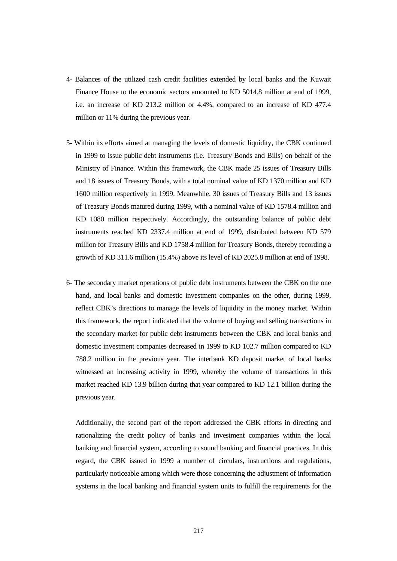- 4- Balances of the utilized cash credit facilities extended by local banks and the Kuwait Finance House to the economic sectors amounted to KD 5014.8 million at end of 1999, i.e. an increase of KD 213.2 million or 4.4%, compared to an increase of KD 477.4 million or 11% during the previous year.
- 5- Within its efforts aimed at managing the levels of domestic liquidity, the CBK continued in 1999 to issue public debt instruments (i.e. Treasury Bonds and Bills) on behalf of the Ministry of Finance. Within this framework, the CBK made 25 issues of Treasury Bills and 18 issues of Treasury Bonds, with a total nominal value of KD 1370 million and KD 1600 million respectively in 1999. Meanwhile, 30 issues of Treasury Bills and 13 issues of Treasury Bonds matured during 1999, with a nominal value of KD 1578.4 million and KD 1080 million respectively. Accordingly, the outstanding balance of public debt instruments reached KD 2337.4 million at end of 1999, distributed between KD 579 million for Treasury Bills and KD 1758.4 million for Treasury Bonds, thereby recording a growth of KD 311.6 million (15.4%) above its level of KD 2025.8 million at end of 1998.
- 6- The secondary market operations of public debt instruments between the CBK on the one hand, and local banks and domestic investment companies on the other, during 1999, reflect CBK's directions to manage the levels of liquidity in the money market. Within this framework, the report indicated that the volume of buying and selling transactions in the secondary market for public debt instruments between the CBK and local banks and domestic investment companies decreased in 1999 to KD 102.7 million compared to KD 788.2 million in the previous year. The interbank KD deposit market of local banks witnessed an increasing activity in 1999, whereby the volume of transactions in this market reached KD 13.9 billion during that year compared to KD 12.1 billion during the previous year.

Additionally, the second part of the report addressed the CBK efforts in directing and rationalizing the credit policy of banks and investment companies within the local banking and financial system, according to sound banking and financial practices. In this regard, the CBK issued in 1999 a number of circulars, instructions and regulations, particularly noticeable among which were those concerning the adjustment of information systems in the local banking and financial system units to fulfill the requirements for the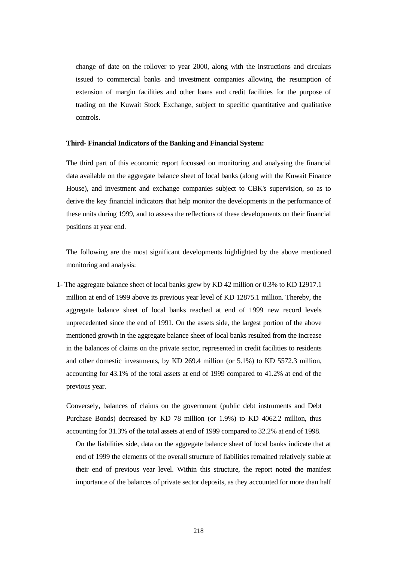change of date on the rollover to year 2000, along with the instructions and circulars issued to commercial banks and investment companies allowing the resumption of extension of margin facilities and other loans and credit facilities for the purpose of trading on the Kuwait Stock Exchange, subject to specific quantitative and qualitative controls.

# **Third- Financial Indicators of the Banking and Financial System:**

The third part of this economic report focussed on monitoring and analysing the financial data available on the aggregate balance sheet of local banks (along with the Kuwait Finance House), and investment and exchange companies subject to CBK's supervision, so as to derive the key financial indicators that help monitor the developments in the performance of these units during 1999, and to assess the reflections of these developments on their financial positions at year end.

The following are the most significant developments highlighted by the above mentioned monitoring and analysis:

1- The aggregate balance sheet of local banks grew by KD 42 million or 0.3% to KD 12917.1 million at end of 1999 above its previous year level of KD 12875.1 million. Thereby, the aggregate balance sheet of local banks reached at end of 1999 new record levels unprecedented since the end of 1991. On the assets side, the largest portion of the above mentioned growth in the aggregate balance sheet of local banks resulted from the increase in the balances of claims on the private sector, represented in credit facilities to residents and other domestic investments, by KD 269.4 million (or 5.1%) to KD 5572.3 million, accounting for 43.1% of the total assets at end of 1999 compared to 41.2% at end of the previous year.

Conversely, balances of claims on the government (public debt instruments and Debt Purchase Bonds) decreased by KD 78 million (or 1.9%) to KD 4062.2 million, thus accounting for 31.3% of the total assets at end of 1999 compared to 32.2% at end of 1998.

On the liabilities side, data on the aggregate balance sheet of local banks indicate that at end of 1999 the elements of the overall structure of liabilities remained relatively stable at their end of previous year level. Within this structure, the report noted the manifest importance of the balances of private sector deposits, as they accounted for more than half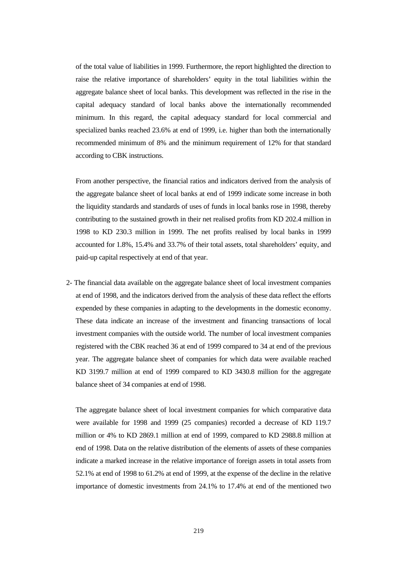of the total value of liabilities in 1999. Furthermore, the report highlighted the direction to raise the relative importance of shareholders' equity in the total liabilities within the aggregate balance sheet of local banks. This development was reflected in the rise in the capital adequacy standard of local banks above the internationally recommended minimum. In this regard, the capital adequacy standard for local commercial and specialized banks reached 23.6% at end of 1999, i.e. higher than both the internationally recommended minimum of 8% and the minimum requirement of 12% for that standard according to CBK instructions.

From another perspective, the financial ratios and indicators derived from the analysis of the aggregate balance sheet of local banks at end of 1999 indicate some increase in both the liquidity standards and standards of uses of funds in local banks rose in 1998, thereby contributing to the sustained growth in their net realised profits from KD 202.4 million in 1998 to KD 230.3 million in 1999. The net profits realised by local banks in 1999 accounted for 1.8%, 15.4% and 33.7% of their total assets, total shareholders' equity, and paid-up capital respectively at end of that year.

2- The financial data available on the aggregate balance sheet of local investment companies at end of 1998, and the indicators derived from the analysis of these data reflect the efforts expended by these companies in adapting to the developments in the domestic economy. These data indicate an increase of the investment and financing transactions of local investment companies with the outside world. The number of local investment companies registered with the CBK reached 36 at end of 1999 compared to 34 at end of the previous year. The aggregate balance sheet of companies for which data were available reached KD 3199.7 million at end of 1999 compared to KD 3430.8 million for the aggregate balance sheet of 34 companies at end of 1998.

The aggregate balance sheet of local investment companies for which comparative data were available for 1998 and 1999 (25 companies) recorded a decrease of KD 119.7 million or 4% to KD 2869.1 million at end of 1999, compared to KD 2988.8 million at end of 1998. Data on the relative distribution of the elements of assets of these companies indicate a marked increase in the relative importance of foreign assets in total assets from 52.1% at end of 1998 to 61.2% at end of 1999, at the expense of the decline in the relative importance of domestic investments from 24.1% to 17.4% at end of the mentioned two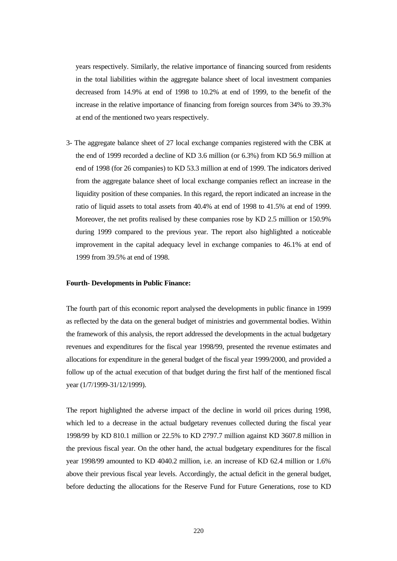years respectively. Similarly, the relative importance of financing sourced from residents in the total liabilities within the aggregate balance sheet of local investment companies decreased from 14.9% at end of 1998 to 10.2% at end of 1999, to the benefit of the increase in the relative importance of financing from foreign sources from 34% to 39.3% at end of the mentioned two years respectively.

3- The aggregate balance sheet of 27 local exchange companies registered with the CBK at the end of 1999 recorded a decline of KD 3.6 million (or 6.3%) from KD 56.9 million at end of 1998 (for 26 companies) to KD 53.3 million at end of 1999. The indicators derived from the aggregate balance sheet of local exchange companies reflect an increase in the liquidity position of these companies. In this regard, the report indicated an increase in the ratio of liquid assets to total assets from 40.4% at end of 1998 to 41.5% at end of 1999. Moreover, the net profits realised by these companies rose by KD 2.5 million or 150.9% during 1999 compared to the previous year. The report also highlighted a noticeable improvement in the capital adequacy level in exchange companies to 46.1% at end of 1999 from 39.5% at end of 1998.

#### **Fourth- Developments in Public Finance:**

The fourth part of this economic report analysed the developments in public finance in 1999 as reflected by the data on the general budget of ministries and governmental bodies. Within the framework of this analysis, the report addressed the developments in the actual budgetary revenues and expenditures for the fiscal year 1998/99, presented the revenue estimates and allocations for expenditure in the general budget of the fiscal year 1999/2000, and provided a follow up of the actual execution of that budget during the first half of the mentioned fiscal year (1/7/1999-31/12/1999).

The report highlighted the adverse impact of the decline in world oil prices during 1998, which led to a decrease in the actual budgetary revenues collected during the fiscal year 1998/99 by KD 810.1 million or 22.5% to KD 2797.7 million against KD 3607.8 million in the previous fiscal year. On the other hand, the actual budgetary expenditures for the fiscal year 1998/99 amounted to KD 4040.2 million, i.e. an increase of KD 62.4 million or 1.6% above their previous fiscal year levels. Accordingly, the actual deficit in the general budget, before deducting the allocations for the Reserve Fund for Future Generations, rose to KD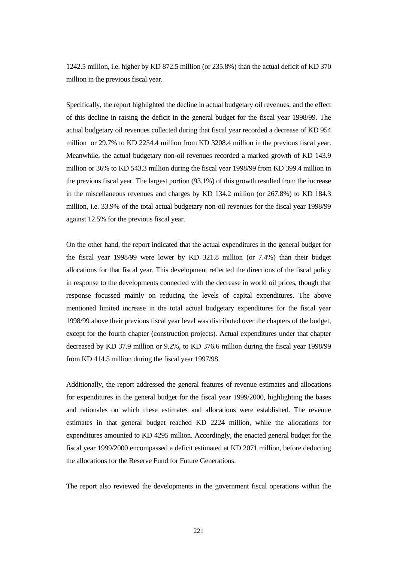1242.5 million, i.e. higher by KD 872.5 million (or 235.8%) than the actual deficit of KD 370 million in the previous fiscal year.

Specifically, the report highlighted the decline in actual budgetary oil revenues, and the effect of this decline in raising the deficit in the general budget for the fiscal year 1998/99. The actual budgetary oil revenues collected during that fiscal year recorded a decrease of KD 954 million or 29.7% to KD 2254.4 million from KD 3208.4 million in the previous fiscal year. Meanwhile, the actual budgetary non-oil revenues recorded a marked growth of KD 143.9 million or 36% to KD 543.3 million during the fiscal year 1998/99 from KD 399.4 million in the previous fiscal year. The largest portion (93.1%) of this growth resulted from the increase in the miscellaneous revenues and charges by KD 134.2 million (or 267.8%) to KD 184.3 million, i.e. 33.9% of the total actual budgetary non-oil revenues for the fiscal year 1998/99 against 12.5% for the previous fiscal year.

On the other hand, the report indicated that the actual expenditures in the general budget for the fiscal year 1998/99 were lower by KD 321.8 million (or 7.4%) than their budget allocations for that fiscal year. This development reflected the directions of the fiscal policy in response to the developments connected with the decrease in world oil prices, though that response focussed mainly on reducing the levels of capital expenditures. The above mentioned limited increase in the total actual budgetary expenditures for the fiscal year 1998/99 above their previous fiscal year level was distributed over the chapters of the budget, except for the fourth chapter (construction projects). Actual expenditures under that chapter decreased by KD 37.9 million or 9.2%, to KD 376.6 million during the fiscal year 1998/99 from KD 414.5 million during the fiscal year 1997/98.

Additionally, the report addressed the general features of revenue estimates and allocations for expenditures in the general budget for the fiscal year 1999/2000, highlighting the bases and rationales on which these estimates and allocations were established. The revenue estimates in that general budget reached KD 2224 million, while the allocations for expenditures amounted to KD 4295 million. Accordingly, the enacted general budget for the fiscal year 1999/2000 encompassed a deficit estimated at KD 2071 million, before deducting the allocations for the Reserve Fund for Future Generations.

The report also reviewed the developments in the government fiscal operations within the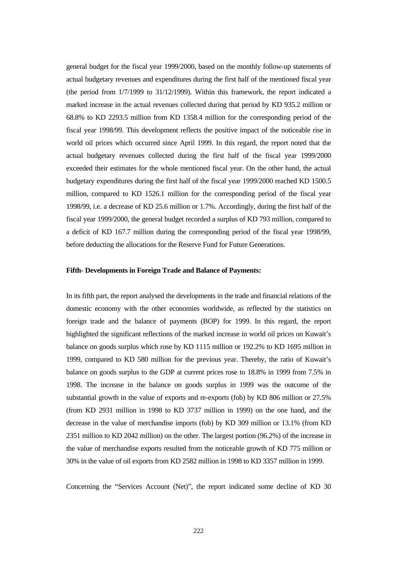general budget for the fiscal year 1999/2000, based on the monthly follow-up statements of actual budgetary revenues and expenditures during the first half of the mentioned fiscal year (the period from 1/7/1999 to 31/12/1999). Within this framework, the report indicated a marked increase in the actual revenues collected during that period by KD 935.2 million or 68.8% to KD 2293.5 million from KD 1358.4 million for the corresponding period of the fiscal year 1998/99. This development reflects the positive impact of the noticeable rise in world oil prices which occurred since April 1999. In this regard, the report noted that the actual budgetary revenues collected during the first half of the fiscal year 1999/2000 exceeded their estimates for the whole mentioned fiscal year. On the other hand, the actual budgetary expenditures during the first half of the fiscal year 1999/2000 reached KD 1500.5 million, compared to KD 1526.1 million for the corresponding period of the fiscal year 1998/99, i.e. a decrease of KD 25.6 million or 1.7%. Accordingly, during the first half of the fiscal year 1999/2000, the general budget recorded a surplus of KD 793 million, compared to a deficit of KD 167.7 million during the corresponding period of the fiscal year 1998/99, before deducting the allocations for the Reserve Fund for Future Generations.

#### **Fifth- Developments in Foreign Trade and Balance of Payments:**

In its fifth part, the report analysed the developments in the trade and financial relations of the domestic economy with the other economies worldwide, as reflected by the statistics on foreign trade and the balance of payments (BOP) for 1999. In this regard, the report highlighted the significant reflections of the marked increase in world oil prices on Kuwait's balance on goods surplus which rose by KD 1115 million or 192.2% to KD 1695 million in 1999, compared to KD 580 million for the previous year. Thereby, the ratio of Kuwait's balance on goods surplus to the GDP at current prices rose to 18.8% in 1999 from 7.5% in 1998. The increase in the balance on goods surplus in 1999 was the outcome of the substantial growth in the value of exports and re-exports (fob) by KD 806 million or 27.5% (from KD 2931 million in 1998 to KD 3737 million in 1999) on the one hand, and the decrease in the value of merchandise imports (fob) by KD 309 million or 13.1% (from KD 2351 million to KD 2042 million) on the other. The largest portion (96.2%) of the increase in the value of merchandise exports resulted from the noticeable growth of KD 775 million or 30% in the value of oil exports from KD 2582 million in 1998 to KD 3357 million in 1999.

Concerning the "Services Account (Net)", the report indicated some decline of KD 30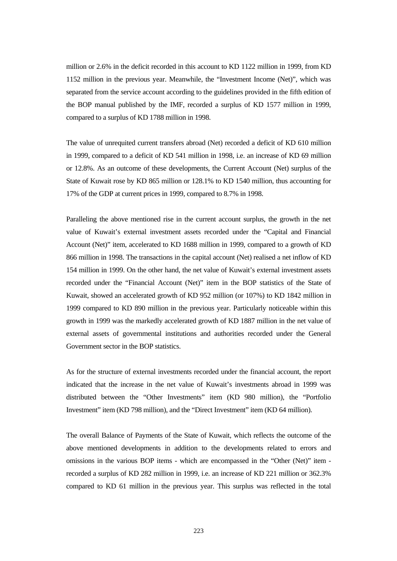million or 2.6% in the deficit recorded in this account to KD 1122 million in 1999, from KD 1152 million in the previous year. Meanwhile, the "Investment Income (Net)", which was separated from the service account according to the guidelines provided in the fifth edition of the BOP manual published by the IMF, recorded a surplus of KD 1577 million in 1999, compared to a surplus of KD 1788 million in 1998.

The value of unrequited current transfers abroad (Net) recorded a deficit of KD 610 million in 1999, compared to a deficit of KD 541 million in 1998, i.e. an increase of KD 69 million or 12.8%. As an outcome of these developments, the Current Account (Net) surplus of the State of Kuwait rose by KD 865 million or 128.1% to KD 1540 million, thus accounting for 17% of the GDP at current prices in 1999, compared to 8.7% in 1998.

Paralleling the above mentioned rise in the current account surplus, the growth in the net value of Kuwait's external investment assets recorded under the "Capital and Financial Account (Net)" item, accelerated to KD 1688 million in 1999, compared to a growth of KD 866 million in 1998. The transactions in the capital account (Net) realised a net inflow of KD 154 million in 1999. On the other hand, the net value of Kuwait's external investment assets recorded under the "Financial Account (Net)" item in the BOP statistics of the State of Kuwait, showed an accelerated growth of KD 952 million (or 107%) to KD 1842 million in 1999 compared to KD 890 million in the previous year. Particularly noticeable within this growth in 1999 was the markedly accelerated growth of KD 1887 million in the net value of external assets of governmental institutions and authorities recorded under the General Government sector in the BOP statistics.

As for the structure of external investments recorded under the financial account, the report indicated that the increase in the net value of Kuwait's investments abroad in 1999 was distributed between the "Other Investments" item (KD 980 million), the "Portfolio Investment" item (KD 798 million), and the "Direct Investment" item (KD 64 million).

The overall Balance of Payments of the State of Kuwait, which reflects the outcome of the above mentioned developments in addition to the developments related to errors and omissions in the various BOP items - which are encompassed in the "Other (Net)" item recorded a surplus of KD 282 million in 1999, i.e. an increase of KD 221 million or 362.3% compared to KD 61 million in the previous year. This surplus was reflected in the total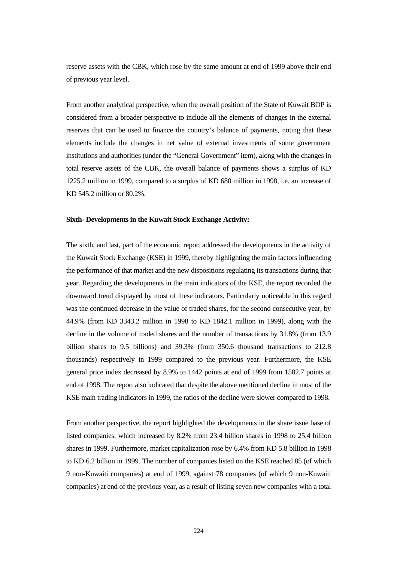reserve assets with the CBK, which rose by the same amount at end of 1999 above their end of previous year level.

From another analytical perspective, when the overall position of the State of Kuwait BOP is considered from a broader perspective to include all the elements of changes in the external reserves that can be used to finance the country's balance of payments, noting that these elements include the changes in net value of external investments of some government institutions and authorities (under the "General Government" item), along with the changes in total reserve assets of the CBK, the overall balance of payments shows a surplus of KD 1225.2 million in 1999, compared to a surplus of KD 680 million in 1998, i.e. an increase of KD 545.2 million or 80.2%.

## **Sixth- Developments in the Kuwait Stock Exchange Activity:**

The sixth, and last, part of the economic report addressed the developments in the activity of the Kuwait Stock Exchange (KSE) in 1999, thereby highlighting the main factors influencing the performance of that market and the new dispositions regulating its transactions during that year. Regarding the developments in the main indicators of the KSE, the report recorded the downward trend displayed by most of these indicators. Particularly noticeable in this regard was the continued decrease in the value of traded shares, for the second consecutive year, by 44.9% (from KD 3343.2 million in 1998 to KD 1842.1 million in 1999), along with the decline in the volume of traded shares and the number of transactions by 31.8% (from 13.9 billion shares to 9.5 billions) and 39.3% (from 350.6 thousand transactions to 212.8 thousands) respectively in 1999 compared to the previous year. Furthermore, the KSE general price index decreased by 8.9% to 1442 points at end of 1999 from 1582.7 points at end of 1998. The report also indicated that despite the above mentioned decline in most of the KSE main trading indicators in 1999, the ratios of the decline were slower compared to 1998.

From another perspective, the report highlighted the developments in the share issue base of listed companies, which increased by 8.2% from 23.4 billion shares in 1998 to 25.4 billion shares in 1999. Furthermore, market capitalization rose by 6.4% from KD 5.8 billion in 1998 to KD 6.2 billion in 1999. The number of companies listed on the KSE reached 85 (of which 9 non-Kuwaiti companies) at end of 1999, against 78 companies (of which 9 non-Kuwaiti companies) at end of the previous year, as a result of listing seven new companies with a total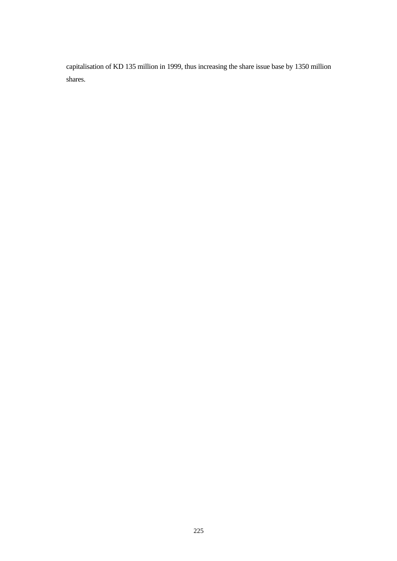capitalisation of KD 135 million in 1999, thus increasing the share issue base by 1350 million shares.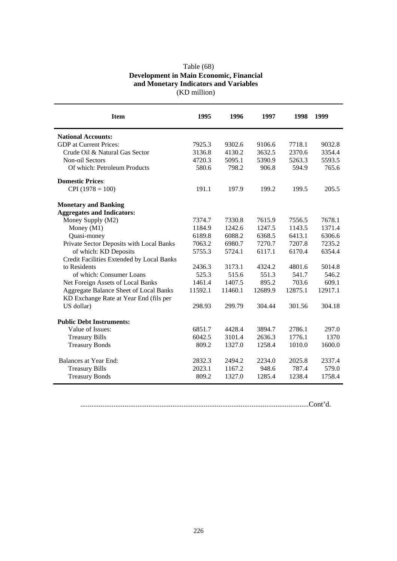| Table $(68)$                                   |  |  |  |  |  |  |
|------------------------------------------------|--|--|--|--|--|--|
| <b>Development in Main Economic, Financial</b> |  |  |  |  |  |  |
| and Monetary Indicators and Variables          |  |  |  |  |  |  |
| (KD million)                                   |  |  |  |  |  |  |

| <b>Item</b>                                   | 1995    | 1996    | 1997    | 1998    | 1999    |
|-----------------------------------------------|---------|---------|---------|---------|---------|
| <b>National Accounts:</b>                     |         |         |         |         |         |
| <b>GDP</b> at Current Prices:                 | 7925.3  | 9302.6  | 9106.6  | 7718.1  | 9032.8  |
| Crude Oil & Natural Gas Sector                | 3136.8  | 4130.2  | 3632.5  | 2370.6  | 3354.4  |
| Non-oil Sectors                               | 4720.3  | 5095.1  | 5390.9  | 5263.3  | 5593.5  |
| Of which: Petroleum Products                  | 580.6   | 798.2   | 906.8   | 594.9   | 765.6   |
| <b>Domestic Prices:</b>                       |         |         |         |         |         |
| $CPI(1978 = 100)$                             | 191.1   | 197.9   | 199.2   | 199.5   | 205.5   |
| <b>Monetary and Banking</b>                   |         |         |         |         |         |
| <b>Aggregates and Indicators:</b>             |         |         |         |         |         |
| Money Supply (M2)                             | 7374.7  | 7330.8  | 7615.9  | 7556.5  | 7678.1  |
| Money $(M1)$                                  | 1184.9  | 1242.6  | 1247.5  | 1143.5  | 1371.4  |
| Quasi-money                                   | 6189.8  | 6088.2  | 6368.5  | 6413.1  | 6306.6  |
| Private Sector Deposits with Local Banks      | 7063.2  | 6980.7  | 7270.7  | 7207.8  | 7235.2  |
| of which: KD Deposits                         | 5755.3  | 5724.1  | 6117.1  | 6170.4  | 6354.4  |
| Credit Facilities Extended by Local Banks     |         |         |         |         |         |
| to Residents                                  | 2436.3  | 3173.1  | 4324.2  | 4801.6  | 5014.8  |
| of which: Consumer Loans                      | 525.3   | 515.6   | 551.3   | 541.7   | 546.2   |
| Net Foreign Assets of Local Banks             | 1461.4  | 1407.5  | 895.2   | 703.6   | 609.1   |
| <b>Aggregate Balance Sheet of Local Banks</b> | 11592.1 | 11460.1 | 12689.9 | 12875.1 | 12917.1 |
| KD Exchange Rate at Year End (fils per        |         |         |         |         |         |
| US dollar)                                    | 298.93  | 299.79  | 304.44  | 301.56  | 304.18  |
| <b>Public Debt Instruments:</b>               |         |         |         |         |         |
| Value of Issues:                              | 6851.7  | 4428.4  | 3894.7  | 2786.1  | 297.0   |
| <b>Treasury Bills</b>                         | 6042.5  | 3101.4  | 2636.3  | 1776.1  | 1370    |
| <b>Treasury Bonds</b>                         | 809.2   | 1327.0  | 1258.4  | 1010.0  | 1600.0  |
| Balances at Year End:                         | 2832.3  | 2494.2  | 2234.0  | 2025.8  | 2337.4  |
| <b>Treasury Bills</b>                         | 2023.1  | 1167.2  | 948.6   | 787.4   | 579.0   |
| <b>Treasury Bonds</b>                         | 809.2   | 1327.0  | 1285.4  | 1238.4  | 1758.4  |
|                                               |         |         |         |         |         |

............................................................................................................................Cont'd.